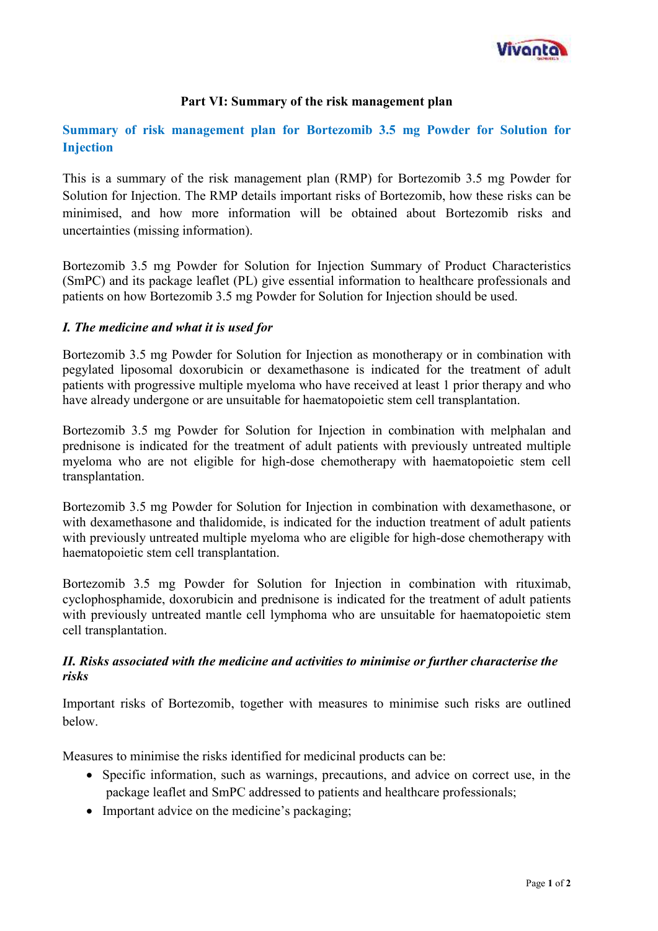

### **Part VI: Summary of the risk management plan**

# **Summary of risk management plan for Bortezomib 3.5 mg Powder for Solution for Injection**

This is a summary of the risk management plan (RMP) for Bortezomib 3.5 mg Powder for Solution for Injection. The RMP details important risks of Bortezomib, how these risks can be minimised, and how more information will be obtained about Bortezomib risks and uncertainties (missing information).

Bortezomib 3.5 mg Powder for Solution for Injection Summary of Product Characteristics (SmPC) and its package leaflet (PL) give essential information to healthcare professionals and patients on how Bortezomib 3.5 mg Powder for Solution for Injection should be used.

### *I. The medicine and what it is used for*

Bortezomib 3.5 mg Powder for Solution for Injection as monotherapy or in combination with pegylated liposomal doxorubicin or dexamethasone is indicated for the treatment of adult patients with progressive multiple myeloma who have received at least 1 prior therapy and who have already undergone or are unsuitable for haematopoietic stem cell transplantation.

Bortezomib 3.5 mg Powder for Solution for Injection in combination with melphalan and prednisone is indicated for the treatment of adult patients with previously untreated multiple myeloma who are not eligible for high-dose chemotherapy with haematopoietic stem cell transplantation.

Bortezomib 3.5 mg Powder for Solution for Injection in combination with dexamethasone, or with dexamethasone and thalidomide, is indicated for the induction treatment of adult patients with previously untreated multiple myeloma who are eligible for high-dose chemotherapy with haematopoietic stem cell transplantation.

Bortezomib 3.5 mg Powder for Solution for Injection in combination with rituximab, cyclophosphamide, doxorubicin and prednisone is indicated for the treatment of adult patients with previously untreated mantle cell lymphoma who are unsuitable for haematopoietic stem cell transplantation.

### *II. Risks associated with the medicine and activities to minimise or further characterise the risks*

Important risks of Bortezomib, together with measures to minimise such risks are outlined below.

Measures to minimise the risks identified for medicinal products can be:

- Specific information, such as warnings, precautions, and advice on correct use, in the package leaflet and SmPC addressed to patients and healthcare professionals;
- Important advice on the medicine's packaging: